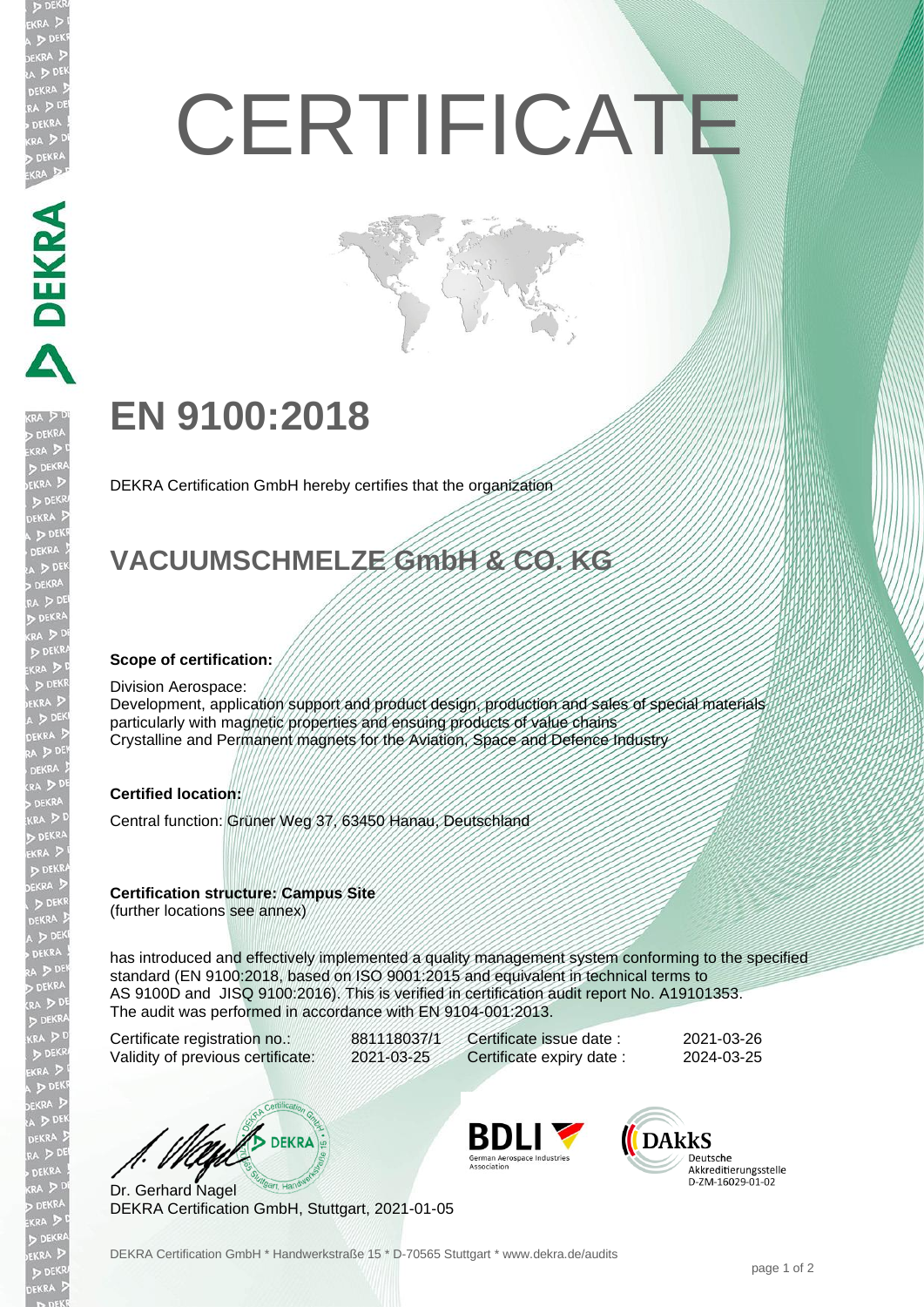# **CERTIFICATE**

## **EN 9100:2018**

DEKRA Certification GmbH hereby certifies that the organization

## **VACUUMSCHMELZE GmbH & CO. KG**

#### **Scope of certification:**

#### Division Aerospace:

**ABLICATION** 

Development, application support and product design, production and sales of special materials particularly with magnetic properties and ensuing products of value chains Crystalline and Permanent magnets for the Aviation, Space and Defence Industry

#### **Certified location:**

Central function: Grüner Weg 37, 63450 Hanau, Deutschland

#### **Certification structure: Campus Site**

(further locations see annex)

has introduced and effectively implemented a quality management system conforming to the specified standard (EN 9100:2018, based on ISO 9001:2015 and equivalent in technical terms to AS 9100D and JISQ 9100:2016). This is verified in certification audit report No. A19101353. The audit was performed in accordance with EN 9104-001:2013.

Certificate registration no.: 881118037/1 Validity of previous certificate: 2021-03-25

Certificate issue date : 2021-03-26 Certificate expiry date : 2024-03-25

**UND DEKRA** 

Dr. Gerhard Nagel DEKRA Certification GmbH, Stuttgart, 2021-01-05



**DARKS** Deutsche Akkreditierungsstelle<br>D-ZM-16029-01-02